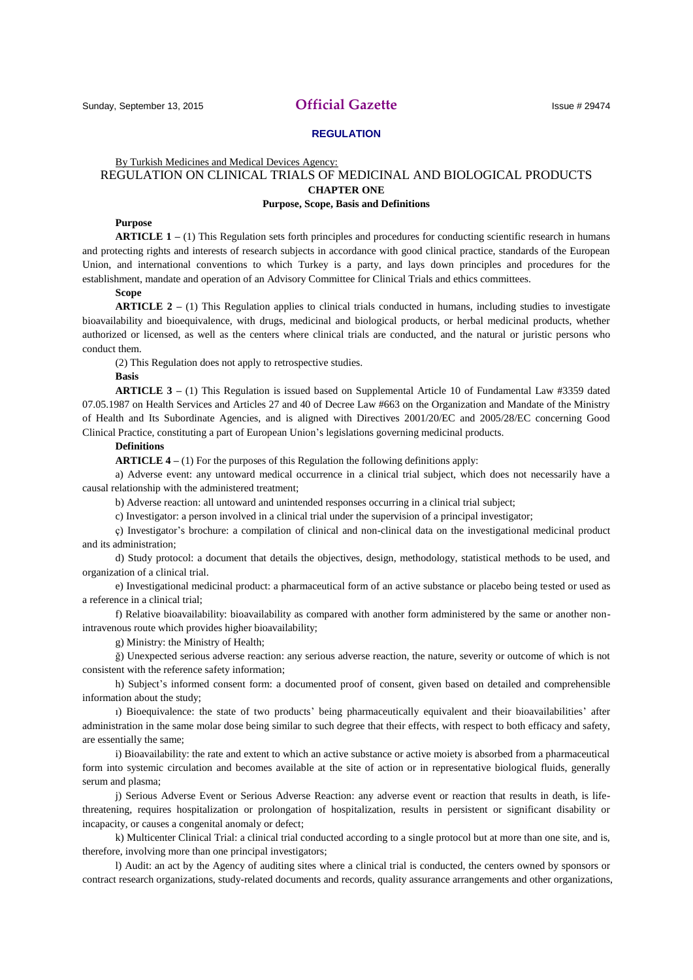# Sunday, September 13, 2015 **Official Gazette** Issue # 29474

# **REGULATION**

# By Turkish Medicines and Medical Devices Agency: REGULATION ON CLINICAL TRIALS OF MEDICINAL AND BIOLOGICAL PRODUCTS **CHAPTER ONE Purpose, Scope, Basis and Definitions**

### **Purpose**

**ARTICLE 1 –** (1) This Regulation sets forth principles and procedures for conducting scientific research in humans and protecting rights and interests of research subjects in accordance with good clinical practice, standards of the European Union, and international conventions to which Turkey is a party, and lays down principles and procedures for the establishment, mandate and operation of an Advisory Committee for Clinical Trials and ethics committees.

### **Scope**

**ARTICLE 2 –** (1) This Regulation applies to clinical trials conducted in humans, including studies to investigate bioavailability and bioequivalence, with drugs, medicinal and biological products, or herbal medicinal products, whether authorized or licensed, as well as the centers where clinical trials are conducted, and the natural or juristic persons who conduct them.

(2) This Regulation does not apply to retrospective studies.

## **Basis**

**ARTICLE 3 –** (1) This Regulation is issued based on Supplemental Article 10 of Fundamental Law #3359 dated 07.05.1987 on Health Services and Articles 27 and 40 of Decree Law #663 on the Organization and Mandate of the Ministry of Health and Its Subordinate Agencies, and is aligned with Directives 2001/20/EC and 2005/28/EC concerning Good Clinical Practice, constituting a part of European Union's legislations governing medicinal products.

# **Definitions**

**ARTICLE 4 –** (1) For the purposes of this Regulation the following definitions apply:

a) Adverse event: any untoward medical occurrence in a clinical trial subject, which does not necessarily have a causal relationship with the administered treatment;

b) Adverse reaction: all untoward and unintended responses occurring in a clinical trial subject;

c) Investigator: a person involved in a clinical trial under the supervision of a principal investigator;

ç) Investigator's brochure: a compilation of clinical and non-clinical data on the investigational medicinal product and its administration;

d) Study protocol: a document that details the objectives, design, methodology, statistical methods to be used, and organization of a clinical trial.

e) Investigational medicinal product: a pharmaceutical form of an active substance or placebo being tested or used as a reference in a clinical trial;

f) Relative bioavailability: bioavailability as compared with another form administered by the same or another nonintravenous route which provides higher bioavailability;

g) Ministry: the Ministry of Health;

ğ) Unexpected serious adverse reaction: any serious adverse reaction, the nature, severity or outcome of which is not consistent with the reference safety information;

h) Subject's informed consent form: a documented proof of consent, given based on detailed and comprehensible information about the study;

ı) Bioequivalence: the state of two products' being pharmaceutically equivalent and their bioavailabilities' after administration in the same molar dose being similar to such degree that their effects, with respect to both efficacy and safety, are essentially the same;

i) Bioavailability: the rate and extent to which an active substance or active moiety is absorbed from a pharmaceutical form into systemic circulation and becomes available at the site of action or in representative biological fluids, generally serum and plasma;

j) Serious Adverse Event or Serious Adverse Reaction: any adverse event or reaction that results in death, is lifethreatening, requires hospitalization or prolongation of hospitalization, results in persistent or significant disability or incapacity, or causes a congenital anomaly or defect;

k) Multicenter Clinical Trial: a clinical trial conducted according to a single protocol but at more than one site, and is, therefore, involving more than one principal investigators;

l) Audit: an act by the Agency of auditing sites where a clinical trial is conducted, the centers owned by sponsors or contract research organizations, study-related documents and records, quality assurance arrangements and other organizations,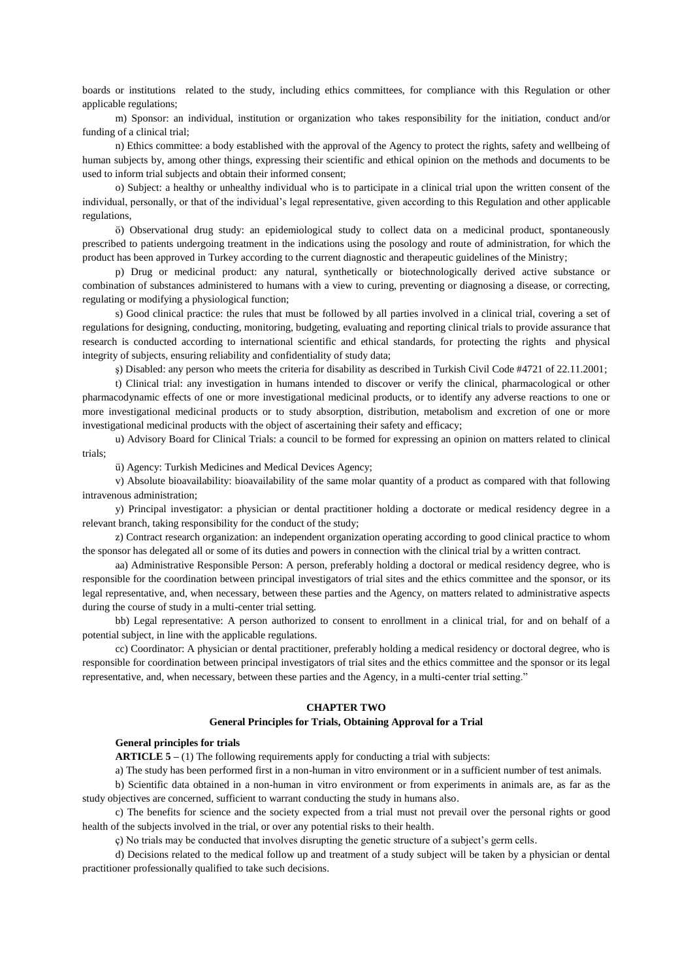boards or institutions related to the study, including ethics committees, for compliance with this Regulation or other applicable regulations;

m) Sponsor: an individual, institution or organization who takes responsibility for the initiation, conduct and/or funding of a clinical trial;

n) Ethics committee: a body established with the approval of the Agency to protect the rights, safety and wellbeing of human subjects by, among other things, expressing their scientific and ethical opinion on the methods and documents to be used to inform trial subjects and obtain their informed consent;

o) Subject: a healthy or unhealthy individual who is to participate in a clinical trial upon the written consent of the individual, personally, or that of the individual's legal representative, given according to this Regulation and other applicable regulations,

ö) Observational drug study: an epidemiological study to collect data on a medicinal product, spontaneously prescribed to patients undergoing treatment in the indications using the posology and route of administration, for which the product has been approved in Turkey according to the current diagnostic and therapeutic guidelines of the Ministry;

p) Drug or medicinal product: any natural, synthetically or biotechnologically derived active substance or combination of substances administered to humans with a view to curing, preventing or diagnosing a disease, or correcting, regulating or modifying a physiological function;

s) Good clinical practice: the rules that must be followed by all parties involved in a clinical trial, covering a set of regulations for designing, conducting, monitoring, budgeting, evaluating and reporting clinical trials to provide assurance that research is conducted according to international scientific and ethical standards, for protecting the rights and physical integrity of subjects, ensuring reliability and confidentiality of study data;

s) Disabled: any person who meets the criteria for disability as described in Turkish Civil Code #4721 of 22.11.2001;

t) Clinical trial: any investigation in humans intended to discover or verify the clinical, pharmacological or other pharmacodynamic effects of one or more investigational medicinal products, or to identify any adverse reactions to one or more investigational medicinal products or to study absorption, distribution, metabolism and excretion of one or more investigational medicinal products with the object of ascertaining their safety and efficacy;

u) Advisory Board for Clinical Trials: a council to be formed for expressing an opinion on matters related to clinical trials;

ü) Agency: Turkish Medicines and Medical Devices Agency;

v) Absolute bioavailability: bioavailability of the same molar quantity of a product as compared with that following intravenous administration;

y) Principal investigator: a physician or dental practitioner holding a doctorate or medical residency degree in a relevant branch, taking responsibility for the conduct of the study;

z) Contract research organization: an independent organization operating according to good clinical practice to whom the sponsor has delegated all or some of its duties and powers in connection with the clinical trial by a written contract.

aa) Administrative Responsible Person: A person, preferably holding a doctoral or medical residency degree, who is responsible for the coordination between principal investigators of trial sites and the ethics committee and the sponsor, or its legal representative, and, when necessary, between these parties and the Agency, on matters related to administrative aspects during the course of study in a multi-center trial setting.

bb) Legal representative: A person authorized to consent to enrollment in a clinical trial, for and on behalf of a potential subject, in line with the applicable regulations.

cc) Coordinator: A physician or dental practitioner, preferably holding a medical residency or doctoral degree, who is responsible for coordination between principal investigators of trial sites and the ethics committee and the sponsor or its legal representative, and, when necessary, between these parties and the Agency, in a multi-center trial setting."

# **CHAPTER TWO**

## **General Principles for Trials, Obtaining Approval for a Trial**

## **General principles for trials**

**ARTICLE 5 –** (1) The following requirements apply for conducting a trial with subjects:

a) The study has been performed first in a non-human in vitro environment or in a sufficient number of test animals.

b) Scientific data obtained in a non-human in vitro environment or from experiments in animals are, as far as the study objectives are concerned, sufficient to warrant conducting the study in humans also.

c) The benefits for science and the society expected from a trial must not prevail over the personal rights or good health of the subjects involved in the trial, or over any potential risks to their health.

ç) No trials may be conducted that involves disrupting the genetic structure of a subject's germ cells.

d) Decisions related to the medical follow up and treatment of a study subject will be taken by a physician or dental practitioner professionally qualified to take such decisions.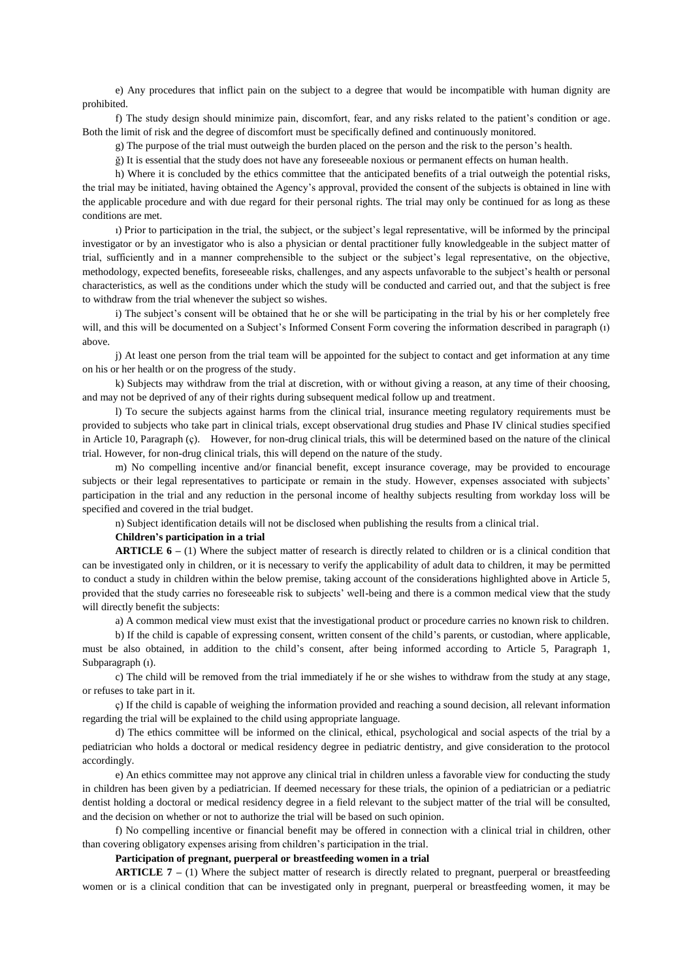e) Any procedures that inflict pain on the subject to a degree that would be incompatible with human dignity are prohibited.

f) The study design should minimize pain, discomfort, fear, and any risks related to the patient's condition or age. Both the limit of risk and the degree of discomfort must be specifically defined and continuously monitored.

g) The purpose of the trial must outweigh the burden placed on the person and the risk to the person's health.

ğ) It is essential that the study does not have any foreseeable noxious or permanent effects on human health.

h) Where it is concluded by the ethics committee that the anticipated benefits of a trial outweigh the potential risks, the trial may be initiated, having obtained the Agency's approval, provided the consent of the subjects is obtained in line with the applicable procedure and with due regard for their personal rights. The trial may only be continued for as long as these conditions are met.

ı) Prior to participation in the trial, the subject, or the subject's legal representative, will be informed by the principal investigator or by an investigator who is also a physician or dental practitioner fully knowledgeable in the subject matter of trial, sufficiently and in a manner comprehensible to the subject or the subject's legal representative, on the objective, methodology, expected benefits, foreseeable risks, challenges, and any aspects unfavorable to the subject's health or personal characteristics, as well as the conditions under which the study will be conducted and carried out, and that the subject is free to withdraw from the trial whenever the subject so wishes.

i) The subject's consent will be obtained that he or she will be participating in the trial by his or her completely free will, and this will be documented on a Subject's Informed Consent Form covering the information described in paragraph (1) above.

j) At least one person from the trial team will be appointed for the subject to contact and get information at any time on his or her health or on the progress of the study.

k) Subjects may withdraw from the trial at discretion, with or without giving a reason, at any time of their choosing, and may not be deprived of any of their rights during subsequent medical follow up and treatment.

l) To secure the subjects against harms from the clinical trial, insurance meeting regulatory requirements must be provided to subjects who take part in clinical trials, except observational drug studies and Phase IV clinical studies specified in Article 10, Paragraph (ç). However, for non-drug clinical trials, this will be determined based on the nature of the clinical trial. However, for non-drug clinical trials, this will depend on the nature of the study.

m) No compelling incentive and/or financial benefit, except insurance coverage, may be provided to encourage subjects or their legal representatives to participate or remain in the study. However, expenses associated with subjects' participation in the trial and any reduction in the personal income of healthy subjects resulting from workday loss will be specified and covered in the trial budget.

n) Subject identification details will not be disclosed when publishing the results from a clinical trial.

### **Children's participation in a trial**

**ARTICLE 6 –** (1) Where the subject matter of research is directly related to children or is a clinical condition that can be investigated only in children, or it is necessary to verify the applicability of adult data to children, it may be permitted to conduct a study in children within the below premise, taking account of the considerations highlighted above in Article 5, provided that the study carries no foreseeable risk to subjects' well-being and there is a common medical view that the study will directly benefit the subjects:

a) A common medical view must exist that the investigational product or procedure carries no known risk to children.

b) If the child is capable of expressing consent, written consent of the child's parents, or custodian, where applicable, must be also obtained, in addition to the child's consent, after being informed according to Article 5, Paragraph 1, Subparagraph (1).

c) The child will be removed from the trial immediately if he or she wishes to withdraw from the study at any stage, or refuses to take part in it.

ç) If the child is capable of weighing the information provided and reaching a sound decision, all relevant information regarding the trial will be explained to the child using appropriate language.

d) The ethics committee will be informed on the clinical, ethical, psychological and social aspects of the trial by a pediatrician who holds a doctoral or medical residency degree in pediatric dentistry, and give consideration to the protocol accordingly.

e) An ethics committee may not approve any clinical trial in children unless a favorable view for conducting the study in children has been given by a pediatrician. If deemed necessary for these trials, the opinion of a pediatrician or a pediatric dentist holding a doctoral or medical residency degree in a field relevant to the subject matter of the trial will be consulted, and the decision on whether or not to authorize the trial will be based on such opinion.

f) No compelling incentive or financial benefit may be offered in connection with a clinical trial in children, other than covering obligatory expenses arising from children's participation in the trial.

## **Participation of pregnant, puerperal or breastfeeding women in a trial**

**ARTICLE 7 –** (1) Where the subject matter of research is directly related to pregnant, puerperal or breastfeeding women or is a clinical condition that can be investigated only in pregnant, puerperal or breastfeeding women, it may be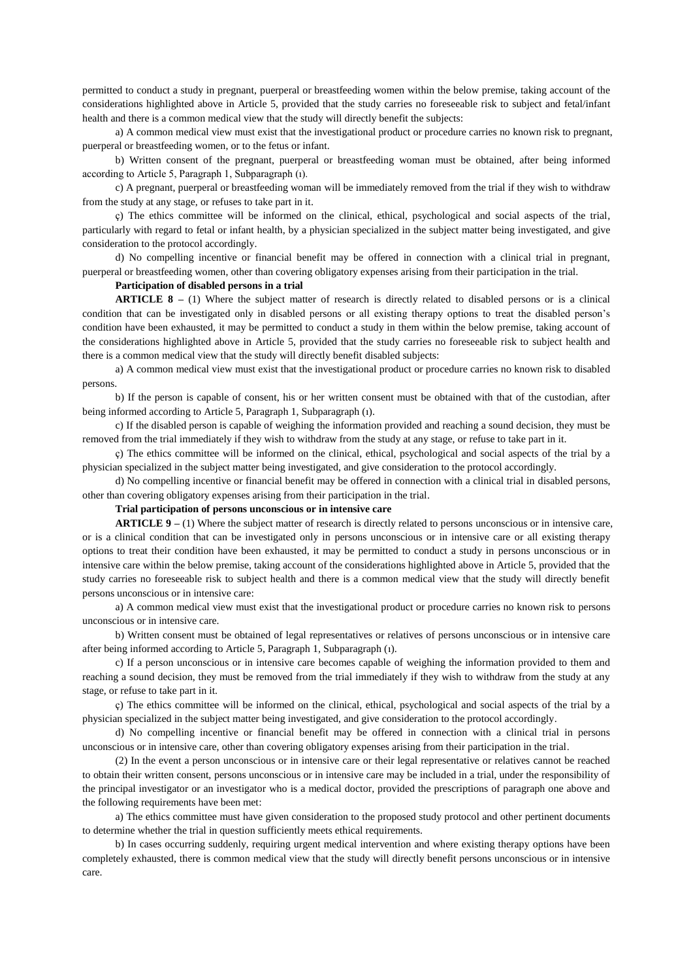permitted to conduct a study in pregnant, puerperal or breastfeeding women within the below premise, taking account of the considerations highlighted above in Article 5, provided that the study carries no foreseeable risk to subject and fetal/infant health and there is a common medical view that the study will directly benefit the subjects:

a) A common medical view must exist that the investigational product or procedure carries no known risk to pregnant, puerperal or breastfeeding women, or to the fetus or infant.

b) Written consent of the pregnant, puerperal or breastfeeding woman must be obtained, after being informed according to Article 5, Paragraph 1, Subparagraph (ı).

c) A pregnant, puerperal or breastfeeding woman will be immediately removed from the trial if they wish to withdraw from the study at any stage, or refuses to take part in it.

ç) The ethics committee will be informed on the clinical, ethical, psychological and social aspects of the trial, particularly with regard to fetal or infant health, by a physician specialized in the subject matter being investigated, and give consideration to the protocol accordingly.

d) No compelling incentive or financial benefit may be offered in connection with a clinical trial in pregnant, puerperal or breastfeeding women, other than covering obligatory expenses arising from their participation in the trial.

# **Participation of disabled persons in a trial**

**ARTICLE 8 –** (1) Where the subject matter of research is directly related to disabled persons or is a clinical condition that can be investigated only in disabled persons or all existing therapy options to treat the disabled person's condition have been exhausted, it may be permitted to conduct a study in them within the below premise, taking account of the considerations highlighted above in Article 5, provided that the study carries no foreseeable risk to subject health and there is a common medical view that the study will directly benefit disabled subjects:

a) A common medical view must exist that the investigational product or procedure carries no known risk to disabled persons.

b) If the person is capable of consent, his or her written consent must be obtained with that of the custodian, after being informed according to Article 5, Paragraph 1, Subparagraph (ı).

c) If the disabled person is capable of weighing the information provided and reaching a sound decision, they must be removed from the trial immediately if they wish to withdraw from the study at any stage, or refuse to take part in it.

ç) The ethics committee will be informed on the clinical, ethical, psychological and social aspects of the trial by a physician specialized in the subject matter being investigated, and give consideration to the protocol accordingly.

d) No compelling incentive or financial benefit may be offered in connection with a clinical trial in disabled persons, other than covering obligatory expenses arising from their participation in the trial.

#### **Trial participation of persons unconscious or in intensive care**

**ARTICLE 9 –** (1) Where the subject matter of research is directly related to persons unconscious or in intensive care, or is a clinical condition that can be investigated only in persons unconscious or in intensive care or all existing therapy options to treat their condition have been exhausted, it may be permitted to conduct a study in persons unconscious or in intensive care within the below premise, taking account of the considerations highlighted above in Article 5, provided that the study carries no foreseeable risk to subject health and there is a common medical view that the study will directly benefit persons unconscious or in intensive care:

a) A common medical view must exist that the investigational product or procedure carries no known risk to persons unconscious or in intensive care.

b) Written consent must be obtained of legal representatives or relatives of persons unconscious or in intensive care after being informed according to Article 5, Paragraph 1, Subparagraph (ı).

c) If a person unconscious or in intensive care becomes capable of weighing the information provided to them and reaching a sound decision, they must be removed from the trial immediately if they wish to withdraw from the study at any stage, or refuse to take part in it.

ç) The ethics committee will be informed on the clinical, ethical, psychological and social aspects of the trial by a physician specialized in the subject matter being investigated, and give consideration to the protocol accordingly.

d) No compelling incentive or financial benefit may be offered in connection with a clinical trial in persons unconscious or in intensive care, other than covering obligatory expenses arising from their participation in the trial.

(2) In the event a person unconscious or in intensive care or their legal representative or relatives cannot be reached to obtain their written consent, persons unconscious or in intensive care may be included in a trial, under the responsibility of the principal investigator or an investigator who is a medical doctor, provided the prescriptions of paragraph one above and the following requirements have been met:

a) The ethics committee must have given consideration to the proposed study protocol and other pertinent documents to determine whether the trial in question sufficiently meets ethical requirements.

b) In cases occurring suddenly, requiring urgent medical intervention and where existing therapy options have been completely exhausted, there is common medical view that the study will directly benefit persons unconscious or in intensive care.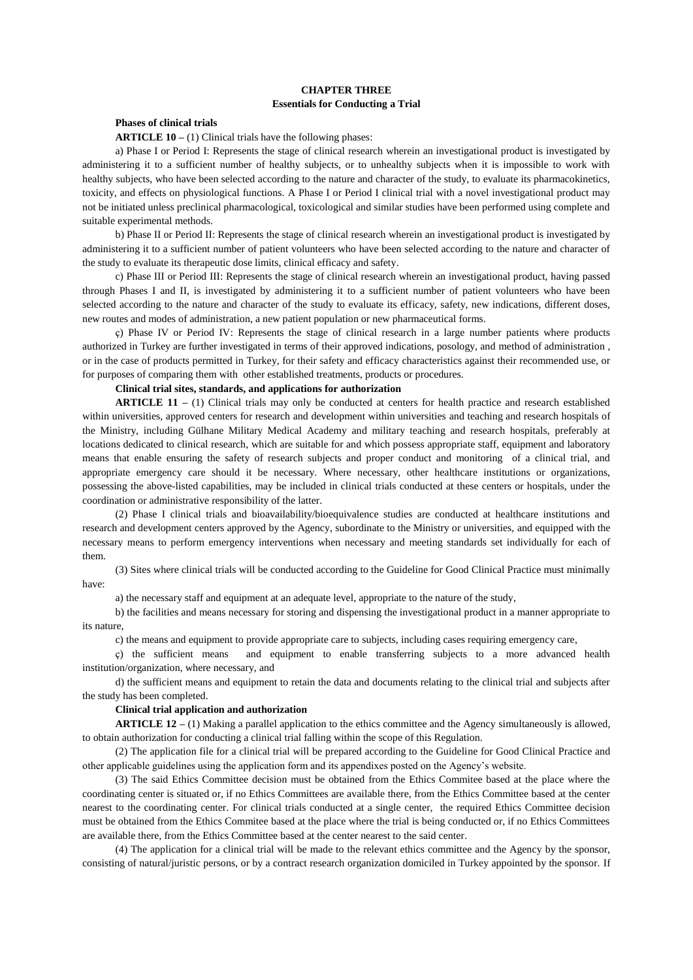# **CHAPTER THREE Essentials for Conducting a Trial**

## **Phases of clinical trials**

**ARTICLE 10 –** (1) Clinical trials have the following phases:

a) Phase I or Period I: Represents the stage of clinical research wherein an investigational product is investigated by administering it to a sufficient number of healthy subjects, or to unhealthy subjects when it is impossible to work with healthy subjects, who have been selected according to the nature and character of the study, to evaluate its pharmacokinetics, toxicity, and effects on physiological functions. A Phase I or Period I clinical trial with a novel investigational product may not be initiated unless preclinical pharmacological, toxicological and similar studies have been performed using complete and suitable experimental methods.

b) Phase II or Period II: Represents the stage of clinical research wherein an investigational product is investigated by administering it to a sufficient number of patient volunteers who have been selected according to the nature and character of the study to evaluate its therapeutic dose limits, clinical efficacy and safety.

c) Phase III or Period III: Represents the stage of clinical research wherein an investigational product, having passed through Phases I and II, is investigated by administering it to a sufficient number of patient volunteers who have been selected according to the nature and character of the study to evaluate its efficacy, safety, new indications, different doses, new routes and modes of administration, a new patient population or new pharmaceutical forms.

ç) Phase IV or Period IV: Represents the stage of clinical research in a large number patients where products authorized in Turkey are further investigated in terms of their approved indications, posology, and method of administration , or in the case of products permitted in Turkey, for their safety and efficacy characteristics against their recommended use, or for purposes of comparing them with other established treatments, products or procedures.

## **Clinical trial sites, standards, and applications for authorization**

**ARTICLE 11 –** (1) Clinical trials may only be conducted at centers for health practice and research established within universities, approved centers for research and development within universities and teaching and research hospitals of the Ministry, including Gülhane Military Medical Academy and military teaching and research hospitals, preferably at locations dedicated to clinical research, which are suitable for and which possess appropriate staff, equipment and laboratory means that enable ensuring the safety of research subjects and proper conduct and monitoring of a clinical trial, and appropriate emergency care should it be necessary. Where necessary, other healthcare institutions or organizations, possessing the above-listed capabilities, may be included in clinical trials conducted at these centers or hospitals, under the coordination or administrative responsibility of the latter.

(2) Phase I clinical trials and bioavailability/bioequivalence studies are conducted at healthcare institutions and research and development centers approved by the Agency, subordinate to the Ministry or universities, and equipped with the necessary means to perform emergency interventions when necessary and meeting standards set individually for each of them.

(3) Sites where clinical trials will be conducted according to the Guideline for Good Clinical Practice must minimally have:

a) the necessary staff and equipment at an adequate level, appropriate to the nature of the study,

b) the facilities and means necessary for storing and dispensing the investigational product in a manner appropriate to its nature,

c) the means and equipment to provide appropriate care to subjects, including cases requiring emergency care,

ç) the sufficient means and equipment to enable transferring subjects to a more advanced health institution/organization, where necessary, and

d) the sufficient means and equipment to retain the data and documents relating to the clinical trial and subjects after the study has been completed.

### **Clinical trial application and authorization**

**ARTICLE 12 –** (1) Making a parallel application to the ethics committee and the Agency simultaneously is allowed, to obtain authorization for conducting a clinical trial falling within the scope of this Regulation.

(2) The application file for a clinical trial will be prepared according to the Guideline for Good Clinical Practice and other applicable guidelines using the application form and its appendixes posted on the Agency's website.

(3) The said Ethics Committee decision must be obtained from the Ethics Commitee based at the place where the coordinating center is situated or, if no Ethics Committees are available there, from the Ethics Committee based at the center nearest to the coordinating center. For clinical trials conducted at a single center, the required Ethics Committee decision must be obtained from the Ethics Commitee based at the place where the trial is being conducted or, if no Ethics Committees are available there, from the Ethics Committee based at the center nearest to the said center.

(4) The application for a clinical trial will be made to the relevant ethics committee and the Agency by the sponsor, consisting of natural/juristic persons, or by a contract research organization domiciled in Turkey appointed by the sponsor. If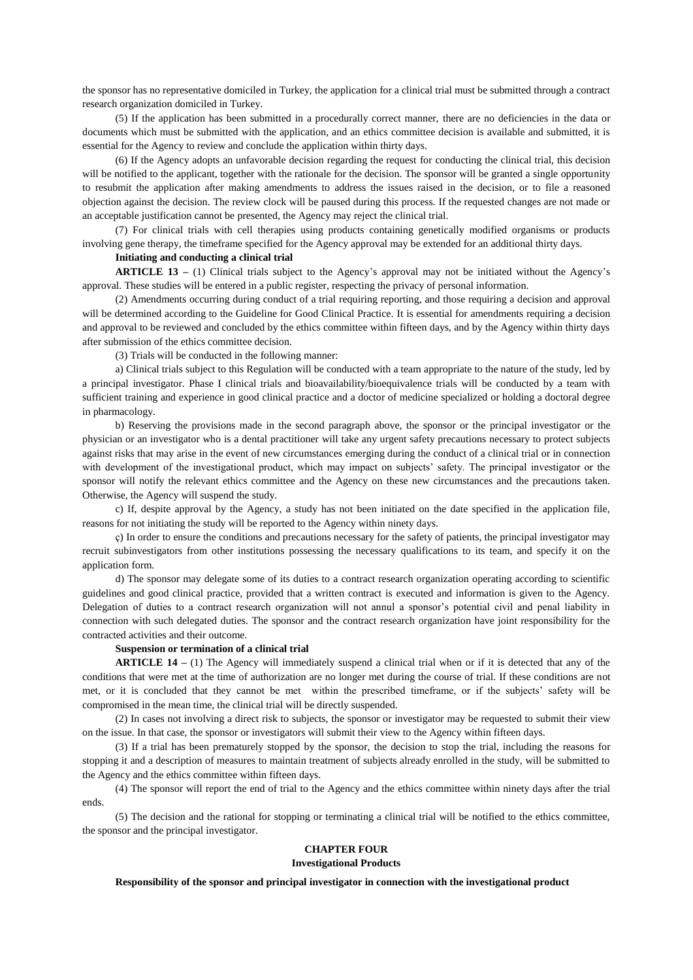the sponsor has no representative domiciled in Turkey, the application for a clinical trial must be submitted through a contract research organization domiciled in Turkey.

(5) If the application has been submitted in a procedurally correct manner, there are no deficiencies in the data or documents which must be submitted with the application, and an ethics committee decision is available and submitted, it is essential for the Agency to review and conclude the application within thirty days.

(6) If the Agency adopts an unfavorable decision regarding the request for conducting the clinical trial, this decision will be notified to the applicant, together with the rationale for the decision. The sponsor will be granted a single opportunity to resubmit the application after making amendments to address the issues raised in the decision, or to file a reasoned objection against the decision. The review clock will be paused during this process. If the requested changes are not made or an acceptable justification cannot be presented, the Agency may reject the clinical trial.

(7) For clinical trials with cell therapies using products containing genetically modified organisms or products involving gene therapy, the timeframe specified for the Agency approval may be extended for an additional thirty days.

### **Initiating and conducting a clinical trial**

**ARTICLE 13 –** (1) Clinical trials subject to the Agency's approval may not be initiated without the Agency's approval. These studies will be entered in a public register, respecting the privacy of personal information.

(2) Amendments occurring during conduct of a trial requiring reporting, and those requiring a decision and approval will be determined according to the Guideline for Good Clinical Practice. It is essential for amendments requiring a decision and approval to be reviewed and concluded by the ethics committee within fifteen days, and by the Agency within thirty days after submission of the ethics committee decision.

(3) Trials will be conducted in the following manner:

a) Clinical trials subject to this Regulation will be conducted with a team appropriate to the nature of the study, led by a principal investigator. Phase I clinical trials and bioavailability/bioequivalence trials will be conducted by a team with sufficient training and experience in good clinical practice and a doctor of medicine specialized or holding a doctoral degree in pharmacology.

b) Reserving the provisions made in the second paragraph above, the sponsor or the principal investigator or the physician or an investigator who is a dental practitioner will take any urgent safety precautions necessary to protect subjects against risks that may arise in the event of new circumstances emerging during the conduct of a clinical trial or in connection with development of the investigational product, which may impact on subjects' safety. The principal investigator or the sponsor will notify the relevant ethics committee and the Agency on these new circumstances and the precautions taken. Otherwise, the Agency will suspend the study.

c) If, despite approval by the Agency, a study has not been initiated on the date specified in the application file, reasons for not initiating the study will be reported to the Agency within ninety days.

ç) In order to ensure the conditions and precautions necessary for the safety of patients, the principal investigator may recruit subinvestigators from other institutions possessing the necessary qualifications to its team, and specify it on the application form.

d) The sponsor may delegate some of its duties to a contract research organization operating according to scientific guidelines and good clinical practice, provided that a written contract is executed and information is given to the Agency. Delegation of duties to a contract research organization will not annul a sponsor's potential civil and penal liability in connection with such delegated duties. The sponsor and the contract research organization have joint responsibility for the contracted activities and their outcome.

#### **Suspension or termination of a clinical trial**

**ARTICLE 14 –** (1) The Agency will immediately suspend a clinical trial when or if it is detected that any of the conditions that were met at the time of authorization are no longer met during the course of trial. If these conditions are not met, or it is concluded that they cannot be met within the prescribed timeframe, or if the subjects' safety will be compromised in the mean time, the clinical trial will be directly suspended.

(2) In cases not involving a direct risk to subjects, the sponsor or investigator may be requested to submit their view on the issue. In that case, the sponsor or investigators will submit their view to the Agency within fifteen days.

(3) If a trial has been prematurely stopped by the sponsor, the decision to stop the trial, including the reasons for stopping it and a description of measures to maintain treatment of subjects already enrolled in the study, will be submitted to the Agency and the ethics committee within fifteen days.

(4) The sponsor will report the end of trial to the Agency and the ethics committee within ninety days after the trial ends.

(5) The decision and the rational for stopping or terminating a clinical trial will be notified to the ethics committee, the sponsor and the principal investigator.

## **CHAPTER FOUR**

**Investigational Products**

### **Responsibility of the sponsor and principal investigator in connection with the investigational product**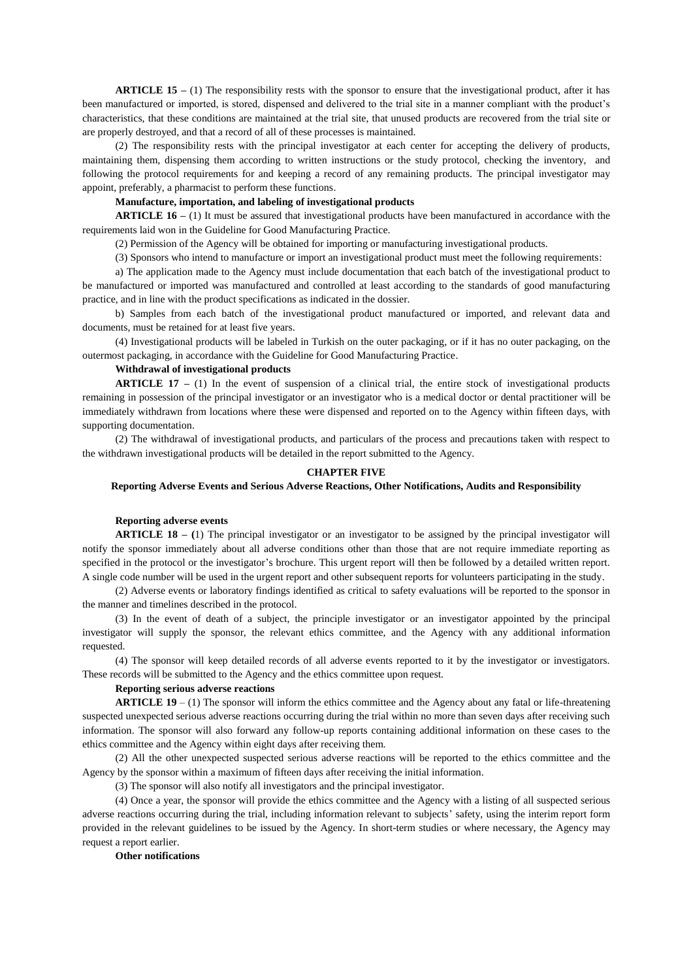**ARTICLE 15 –** (1) The responsibility rests with the sponsor to ensure that the investigational product, after it has been manufactured or imported, is stored, dispensed and delivered to the trial site in a manner compliant with the product's characteristics, that these conditions are maintained at the trial site, that unused products are recovered from the trial site or are properly destroyed, and that a record of all of these processes is maintained.

(2) The responsibility rests with the principal investigator at each center for accepting the delivery of products, maintaining them, dispensing them according to written instructions or the study protocol, checking the inventory, and following the protocol requirements for and keeping a record of any remaining products. The principal investigator may appoint, preferably, a pharmacist to perform these functions.

## **Manufacture, importation, and labeling of investigational products**

**ARTICLE 16 –** (1) It must be assured that investigational products have been manufactured in accordance with the requirements laid won in the Guideline for Good Manufacturing Practice.

(2) Permission of the Agency will be obtained for importing or manufacturing investigational products.

(3) Sponsors who intend to manufacture or import an investigational product must meet the following requirements:

a) The application made to the Agency must include documentation that each batch of the investigational product to be manufactured or imported was manufactured and controlled at least according to the standards of good manufacturing practice, and in line with the product specifications as indicated in the dossier.

b) Samples from each batch of the investigational product manufactured or imported, and relevant data and documents, must be retained for at least five years.

(4) Investigational products will be labeled in Turkish on the outer packaging, or if it has no outer packaging, on the outermost packaging, in accordance with the Guideline for Good Manufacturing Practice.

## **Withdrawal of investigational products**

**ARTICLE 17 –** (1) In the event of suspension of a clinical trial, the entire stock of investigational products remaining in possession of the principal investigator or an investigator who is a medical doctor or dental practitioner will be immediately withdrawn from locations where these were dispensed and reported on to the Agency within fifteen days, with supporting documentation.

(2) The withdrawal of investigational products, and particulars of the process and precautions taken with respect to the withdrawn investigational products will be detailed in the report submitted to the Agency.

### **CHAPTER FIVE**

### **Reporting Adverse Events and Serious Adverse Reactions, Other Notifications, Audits and Responsibility**

#### **Reporting adverse events**

**ARTICLE 18 – (**1) The principal investigator or an investigator to be assigned by the principal investigator will notify the sponsor immediately about all adverse conditions other than those that are not require immediate reporting as specified in the protocol or the investigator's brochure. This urgent report will then be followed by a detailed written report. A single code number will be used in the urgent report and other subsequent reports for volunteers participating in the study.

(2) Adverse events or laboratory findings identified as critical to safety evaluations will be reported to the sponsor in the manner and timelines described in the protocol.

(3) In the event of death of a subject, the principle investigator or an investigator appointed by the principal investigator will supply the sponsor, the relevant ethics committee, and the Agency with any additional information requested.

(4) The sponsor will keep detailed records of all adverse events reported to it by the investigator or investigators. These records will be submitted to the Agency and the ethics committee upon request.

#### **Reporting serious adverse reactions**

**ARTICLE 19** – (1) The sponsor will inform the ethics committee and the Agency about any fatal or life-threatening suspected unexpected serious adverse reactions occurring during the trial within no more than seven days after receiving such information. The sponsor will also forward any follow-up reports containing additional information on these cases to the ethics committee and the Agency within eight days after receiving them.

(2) All the other unexpected suspected serious adverse reactions will be reported to the ethics committee and the Agency by the sponsor within a maximum of fifteen days after receiving the initial information.

(3) The sponsor will also notify all investigators and the principal investigator.

(4) Once a year, the sponsor will provide the ethics committee and the Agency with a listing of all suspected serious adverse reactions occurring during the trial, including information relevant to subjects' safety, using the interim report form provided in the relevant guidelines to be issued by the Agency. In short-term studies or where necessary, the Agency may request a report earlier.

### **Other notifications**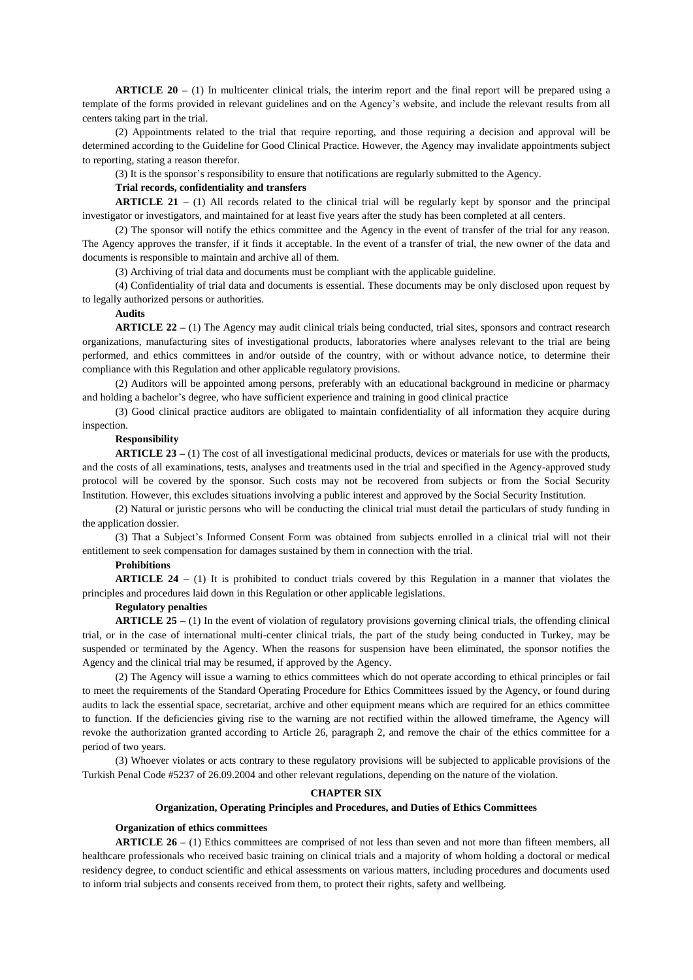**ARTICLE 20 –** (1) In multicenter clinical trials, the interim report and the final report will be prepared using a template of the forms provided in relevant guidelines and on the Agency's website, and include the relevant results from all centers taking part in the trial.

(2) Appointments related to the trial that require reporting, and those requiring a decision and approval will be determined according to the Guideline for Good Clinical Practice. However, the Agency may invalidate appointments subject to reporting, stating a reason therefor.

(3) It is the sponsor's responsibility to ensure that notifications are regularly submitted to the Agency.

# **Trial records, confidentiality and transfers**

**ARTICLE 21 –** (1) All records related to the clinical trial will be regularly kept by sponsor and the principal investigator or investigators, and maintained for at least five years after the study has been completed at all centers.

(2) The sponsor will notify the ethics committee and the Agency in the event of transfer of the trial for any reason. The Agency approves the transfer, if it finds it acceptable. In the event of a transfer of trial, the new owner of the data and documents is responsible to maintain and archive all of them.

(3) Archiving of trial data and documents must be compliant with the applicable guideline.

(4) Confidentiality of trial data and documents is essential. These documents may be only disclosed upon request by to legally authorized persons or authorities.

## **Audits**

**ARTICLE 22 –** (1) The Agency may audit clinical trials being conducted, trial sites, sponsors and contract research organizations, manufacturing sites of investigational products, laboratories where analyses relevant to the trial are being performed, and ethics committees in and/or outside of the country, with or without advance notice, to determine their compliance with this Regulation and other applicable regulatory provisions.

(2) Auditors will be appointed among persons, preferably with an educational background in medicine or pharmacy and holding a bachelor's degree, who have sufficient experience and training in good clinical practice

(3) Good clinical practice auditors are obligated to maintain confidentiality of all information they acquire during inspection.

### **Responsibility**

**ARTICLE 23 –** (1) The cost of all investigational medicinal products, devices or materials for use with the products, and the costs of all examinations, tests, analyses and treatments used in the trial and specified in the Agency-approved study protocol will be covered by the sponsor. Such costs may not be recovered from subjects or from the Social Security Institution. However, this excludes situations involving a public interest and approved by the Social Security Institution.

(2) Natural or juristic persons who will be conducting the clinical trial must detail the particulars of study funding in the application dossier.

(3) That a Subject's Informed Consent Form was obtained from subjects enrolled in a clinical trial will not their entitlement to seek compensation for damages sustained by them in connection with the trial.

# **Prohibitions**

**ARTICLE 24 –** (1) It is prohibited to conduct trials covered by this Regulation in a manner that violates the principles and procedures laid down in this Regulation or other applicable legislations.

# **Regulatory penalties**

**ARTICLE 25 –** (1) In the event of violation of regulatory provisions governing clinical trials, the offending clinical trial, or in the case of international multi-center clinical trials, the part of the study being conducted in Turkey, may be suspended or terminated by the Agency. When the reasons for suspension have been eliminated, the sponsor notifies the Agency and the clinical trial may be resumed, if approved by the Agency.

(2) The Agency will issue a warning to ethics committees which do not operate according to ethical principles or fail to meet the requirements of the Standard Operating Procedure for Ethics Committees issued by the Agency, or found during audits to lack the essential space, secretariat, archive and other equipment means which are required for an ethics committee to function. If the deficiencies giving rise to the warning are not rectified within the allowed timeframe, the Agency will revoke the authorization granted according to Article 26, paragraph 2, and remove the chair of the ethics committee for a period of two years.

(3) Whoever violates or acts contrary to these regulatory provisions will be subjected to applicable provisions of the Turkish Penal Code #5237 of 26.09.2004 and other relevant regulations, depending on the nature of the violation.

#### **CHAPTER SIX**

# **Organization, Operating Principles and Procedures, and Duties of Ethics Committees**

#### **Organization of ethics committees**

**ARTICLE 26 –** (1) Ethics committees are comprised of not less than seven and not more than fifteen members, all healthcare professionals who received basic training on clinical trials and a majority of whom holding a doctoral or medical residency degree, to conduct scientific and ethical assessments on various matters, including procedures and documents used to inform trial subjects and consents received from them, to protect their rights, safety and wellbeing.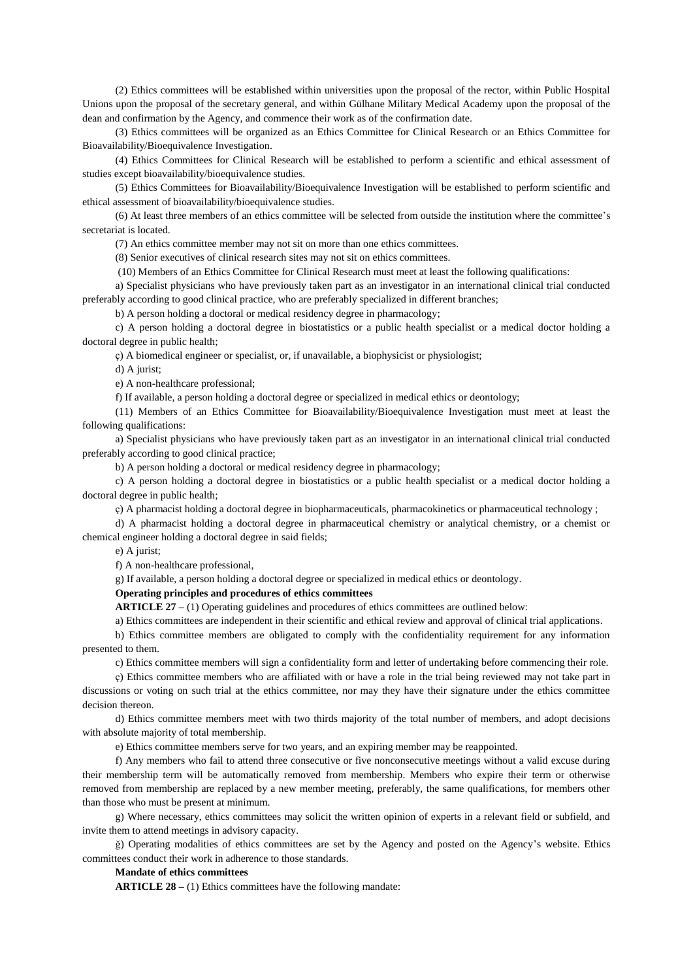(2) Ethics committees will be established within universities upon the proposal of the rector, within Public Hospital Unions upon the proposal of the secretary general, and within Gülhane Military Medical Academy upon the proposal of the dean and confirmation by the Agency, and commence their work as of the confirmation date.

(3) Ethics committees will be organized as an Ethics Committee for Clinical Research or an Ethics Committee for Bioavailability/Bioequivalence Investigation.

(4) Ethics Committees for Clinical Research will be established to perform a scientific and ethical assessment of studies except bioavailability/bioequivalence studies.

(5) Ethics Committees for Bioavailability/Bioequivalence Investigation will be established to perform scientific and ethical assessment of bioavailability/bioequivalence studies.

(6) At least three members of an ethics committee will be selected from outside the institution where the committee's secretariat is located.

(7) An ethics committee member may not sit on more than one ethics committees.

(8) Senior executives of clinical research sites may not sit on ethics committees.

(10) Members of an Ethics Committee for Clinical Research must meet at least the following qualifications:

a) Specialist physicians who have previously taken part as an investigator in an international clinical trial conducted preferably according to good clinical practice, who are preferably specialized in different branches;

b) A person holding a doctoral or medical residency degree in pharmacology;

c) A person holding a doctoral degree in biostatistics or a public health specialist or a medical doctor holding a doctoral degree in public health;

ç) A biomedical engineer or specialist, or, if unavailable, a biophysicist or physiologist;

d) A jurist;

e) A non-healthcare professional;

f) If available, a person holding a doctoral degree or specialized in medical ethics or deontology;

(11) Members of an Ethics Committee for Bioavailability/Bioequivalence Investigation must meet at least the following qualifications:

a) Specialist physicians who have previously taken part as an investigator in an international clinical trial conducted preferably according to good clinical practice;

b) A person holding a doctoral or medical residency degree in pharmacology;

c) A person holding a doctoral degree in biostatistics or a public health specialist or a medical doctor holding a doctoral degree in public health;

ç) A pharmacist holding a doctoral degree in biopharmaceuticals, pharmacokinetics or pharmaceutical technology ;

d) A pharmacist holding a doctoral degree in pharmaceutical chemistry or analytical chemistry, or a chemist or chemical engineer holding a doctoral degree in said fields;

e) A jurist;

f) A non-healthcare professional,

g) If available, a person holding a doctoral degree or specialized in medical ethics or deontology.

**Operating principles and procedures of ethics committees** 

**ARTICLE 27 –** (1) Operating guidelines and procedures of ethics committees are outlined below:

a) Ethics committees are independent in their scientific and ethical review and approval of clinical trial applications.

b) Ethics committee members are obligated to comply with the confidentiality requirement for any information presented to them.

c) Ethics committee members will sign a confidentiality form and letter of undertaking before commencing their role.

ç) Ethics committee members who are affiliated with or have a role in the trial being reviewed may not take part in discussions or voting on such trial at the ethics committee, nor may they have their signature under the ethics committee decision thereon.

d) Ethics committee members meet with two thirds majority of the total number of members, and adopt decisions with absolute majority of total membership.

e) Ethics committee members serve for two years, and an expiring member may be reappointed.

f) Any members who fail to attend three consecutive or five nonconsecutive meetings without a valid excuse during their membership term will be automatically removed from membership. Members who expire their term or otherwise removed from membership are replaced by a new member meeting, preferably, the same qualifications, for members other than those who must be present at minimum.

g) Where necessary, ethics committees may solicit the written opinion of experts in a relevant field or subfield, and invite them to attend meetings in advisory capacity.

ğ) Operating modalities of ethics committees are set by the Agency and posted on the Agency's website. Ethics committees conduct their work in adherence to those standards.

## **Mandate of ethics committees**

**ARTICLE 28 –** (1) Ethics committees have the following mandate: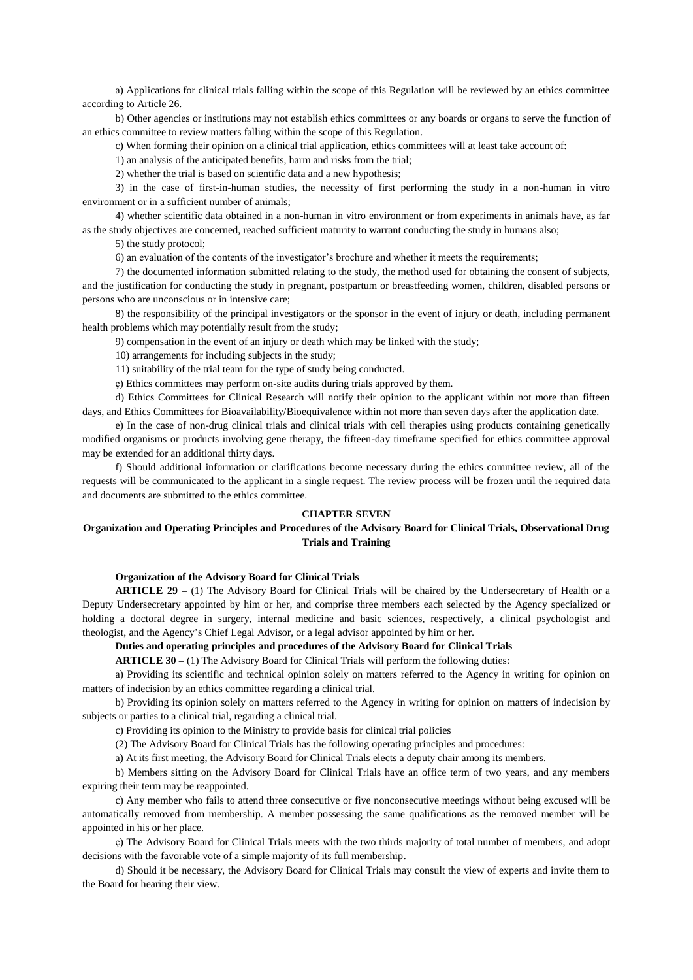a) Applications for clinical trials falling within the scope of this Regulation will be reviewed by an ethics committee according to Article 26.

b) Other agencies or institutions may not establish ethics committees or any boards or organs to serve the function of an ethics committee to review matters falling within the scope of this Regulation.

c) When forming their opinion on a clinical trial application, ethics committees will at least take account of:

1) an analysis of the anticipated benefits, harm and risks from the trial;

2) whether the trial is based on scientific data and a new hypothesis;

3) in the case of first-in-human studies, the necessity of first performing the study in a non-human in vitro environment or in a sufficient number of animals;

4) whether scientific data obtained in a non-human in vitro environment or from experiments in animals have, as far as the study objectives are concerned, reached sufficient maturity to warrant conducting the study in humans also;

5) the study protocol;

6) an evaluation of the contents of the investigator's brochure and whether it meets the requirements;

7) the documented information submitted relating to the study, the method used for obtaining the consent of subjects, and the justification for conducting the study in pregnant, postpartum or breastfeeding women, children, disabled persons or persons who are unconscious or in intensive care;

8) the responsibility of the principal investigators or the sponsor in the event of injury or death, including permanent health problems which may potentially result from the study;

9) compensation in the event of an injury or death which may be linked with the study;

10) arrangements for including subjects in the study;

11) suitability of the trial team for the type of study being conducted.

ç) Ethics committees may perform on-site audits during trials approved by them.

d) Ethics Committees for Clinical Research will notify their opinion to the applicant within not more than fifteen days, and Ethics Committees for Bioavailability/Bioequivalence within not more than seven days after the application date.

e) In the case of non-drug clinical trials and clinical trials with cell therapies using products containing genetically modified organisms or products involving gene therapy, the fifteen-day timeframe specified for ethics committee approval may be extended for an additional thirty days.

f) Should additional information or clarifications become necessary during the ethics committee review, all of the requests will be communicated to the applicant in a single request. The review process will be frozen until the required data and documents are submitted to the ethics committee.

### **CHAPTER SEVEN**

# **Organization and Operating Principles and Procedures of the Advisory Board for Clinical Trials, Observational Drug Trials and Training**

#### **Organization of the Advisory Board for Clinical Trials**

**ARTICLE 29 –** (1) The Advisory Board for Clinical Trials will be chaired by the Undersecretary of Health or a Deputy Undersecretary appointed by him or her, and comprise three members each selected by the Agency specialized or holding a doctoral degree in surgery, internal medicine and basic sciences, respectively, a clinical psychologist and theologist, and the Agency's Chief Legal Advisor, or a legal advisor appointed by him or her.

**Duties and operating principles and procedures of the Advisory Board for Clinical Trials** 

**ARTICLE 30 –** (1) The Advisory Board for Clinical Trials will perform the following duties:

a) Providing its scientific and technical opinion solely on matters referred to the Agency in writing for opinion on matters of indecision by an ethics committee regarding a clinical trial.

b) Providing its opinion solely on matters referred to the Agency in writing for opinion on matters of indecision by subjects or parties to a clinical trial, regarding a clinical trial.

c) Providing its opinion to the Ministry to provide basis for clinical trial policies

(2) The Advisory Board for Clinical Trials has the following operating principles and procedures:

a) At its first meeting, the Advisory Board for Clinical Trials elects a deputy chair among its members.

b) Members sitting on the Advisory Board for Clinical Trials have an office term of two years, and any members expiring their term may be reappointed.

c) Any member who fails to attend three consecutive or five nonconsecutive meetings without being excused will be automatically removed from membership. A member possessing the same qualifications as the removed member will be appointed in his or her place.

ç) The Advisory Board for Clinical Trials meets with the two thirds majority of total number of members, and adopt decisions with the favorable vote of a simple majority of its full membership.

d) Should it be necessary, the Advisory Board for Clinical Trials may consult the view of experts and invite them to the Board for hearing their view.